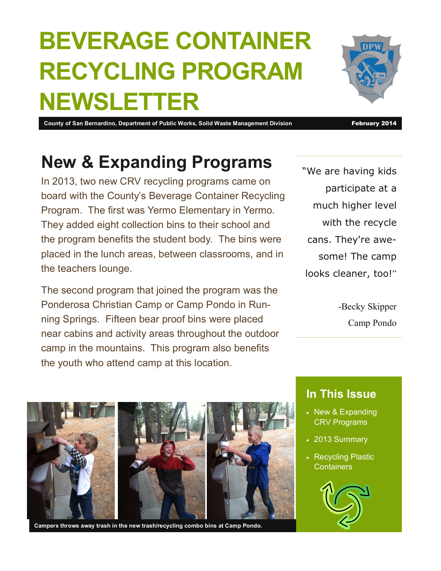# **BEVERAGE CONTAINER RECYCLING PROGRAM NEWSLETTER**

**County of San Bernardino, Department of Public Works, Solid Waste Management Division February 2014** 

### **New & Expanding Programs**

In 2013, two new CRV recycling programs came on board with the County's Beverage Container Recycling Program. The first was Yermo Elementary in Yermo. They added eight collection bins to their school and the program benefits the student body. The bins were placed in the lunch areas, between classrooms, and in the teachers lounge.

The second program that joined the program was the Ponderosa Christian Camp or Camp Pondo in Running Springs. Fifteen bear proof bins were placed near cabins and activity areas throughout the outdoor camp in the mountains. This program also benefits the youth who attend camp at this location.

"We are having kids participate at a much higher level with the recycle cans. They're awesome! The camp looks cleaner, too!"

> -Becky Skipper Camp Pondo



**Campers throws away trash in the new trash/recycling combo bins at Camp Pondo.**

#### **In This Issue**

- New & Expanding CRV Programs
- 2013 Summary
- Recycling Plastic **Containers**



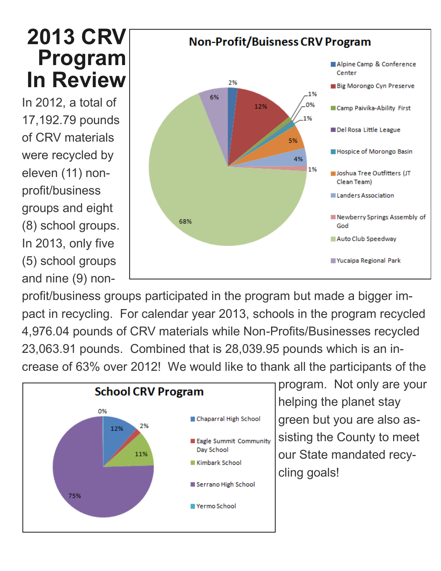## **2013 CRV Program In Review**

In 2012, a total of 17,192.79 pounds of CRV materials were recycled by eleven (11) nonprofit/business groups and eight (8) school groups. In 2013, only five (5) school groups and nine (9) non-



profit/business groups participated in the program but made a bigger impact in recycling. For calendar year 2013, schools in the program recycled 4,976.04 pounds of CRV materials while Non-Profits/Businesses recycled 23,063.91 pounds. Combined that is 28,039.95 pounds which is an increase of 63% over 2012! We would like to thank all the participants of the



program. Not only are your helping the planet stay green but you are also assisting the County to meet our State mandated recycling goals!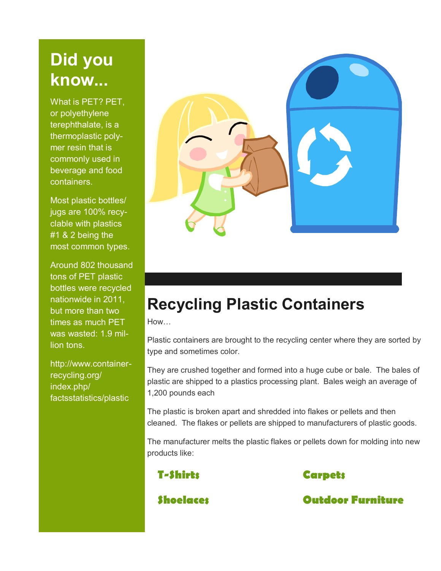#### **Did you know...**

What is PET? PET, or polyethylene terephthalate, is a thermoplastic polymer resin that is commonly used in beverage and food containers.

Most plastic bottles/ jugs are 100% recyclable with plastics #1 & 2 being the most common types.

Around 802 thousand tons of PET plastic bottles were recycled nationwide in 2011, but more than two times as much PET was wasted: 1.9 million tons.

http://www.containerrecycling.org/ index.php/ factsstatistics/plastic



### **Recycling Plastic Containers**

How…

Plastic containers are brought to the recycling center where they are sorted by type and sometimes color.

They are crushed together and formed into a huge cube or bale. The bales of plastic are shipped to a plastics processing plant. Bales weigh an average of 1,200 pounds each

The plastic is broken apart and shredded into flakes or pellets and then cleaned. The flakes or pellets are shipped to manufacturers of plastic goods.

The manufacturer melts the plastic flakes or pellets down for molding into new products like:



**Shoelaces Outdoor Furniture**